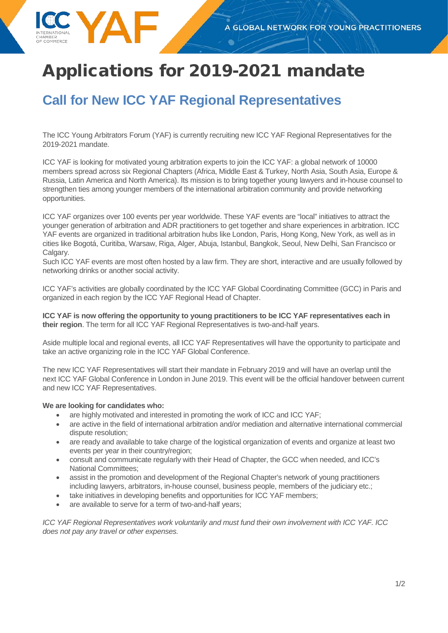# Applications for 2019-2021 mandate

## **Call for New ICC YAF Regional Representatives**

The ICC Young Arbitrators Forum (YAF) is currently recruiting new ICC YAF Regional Representatives for the 2019-2021 mandate.

ICC YAF is looking for motivated young arbitration experts to join the ICC YAF: a global network of 10000 members spread across six Regional Chapters (Africa, Middle East & Turkey, North Asia, South Asia, Europe & Russia, Latin America and North America). Its mission is to bring together young lawyers and in-house counsel to strengthen ties among younger members of the international arbitration community and provide networking opportunities.

ICC YAF organizes over 100 events per year worldwide. These YAF events are "local" initiatives to attract the younger generation of arbitration and ADR practitioners to get together and share experiences in arbitration. ICC YAF events are organized in traditional arbitration hubs like London, Paris, Hong Kong, New York, as well as in cities like Bogotá, Curitiba, Warsaw, Riga, Alger, Abuja, Istanbul, Bangkok, Seoul, New Delhi, San Francisco or Calgary.

Such ICC YAF events are most often hosted by a law firm. They are short, interactive and are usually followed by networking drinks or another social activity.

ICC YAF's activities are globally coordinated by the ICC YAF Global Coordinating Committee (GCC) in Paris and organized in each region by the ICC YAF Regional Head of Chapter.

**ICC YAF is now offering the opportunity to young practitioners to be ICC YAF representatives each in their region**. The term for all ICC YAF Regional Representatives is two-and-half years.

Aside multiple local and regional events, all ICC YAF Representatives will have the opportunity to participate and take an active organizing role in the ICC YAF Global Conference.

The new ICC YAF Representatives will start their mandate in February 2019 and will have an overlap until the next ICC YAF Global Conference in London in June 2019. This event will be the official handover between current and new ICC YAF Representatives.

#### **We are looking for candidates who:**

- are highly motivated and interested in promoting the work of ICC and ICC YAF;
- are active in the field of international arbitration and/or mediation and alternative international commercial dispute resolution;
- are ready and available to take charge of the logistical organization of events and organize at least two events per year in their country/region;
- consult and communicate regularly with their Head of Chapter, the GCC when needed, and ICC's National Committees;
- assist in the promotion and development of the Regional Chapter's network of young practitioners including lawyers, arbitrators, in-house counsel, business people, members of the judiciary etc.;
- take initiatives in developing benefits and opportunities for ICC YAF members;
- are available to serve for a term of two-and-half years;

*ICC YAF Regional Representatives work voluntarily and must fund their own involvement with ICC YAF. ICC does not pay any travel or other expenses.*